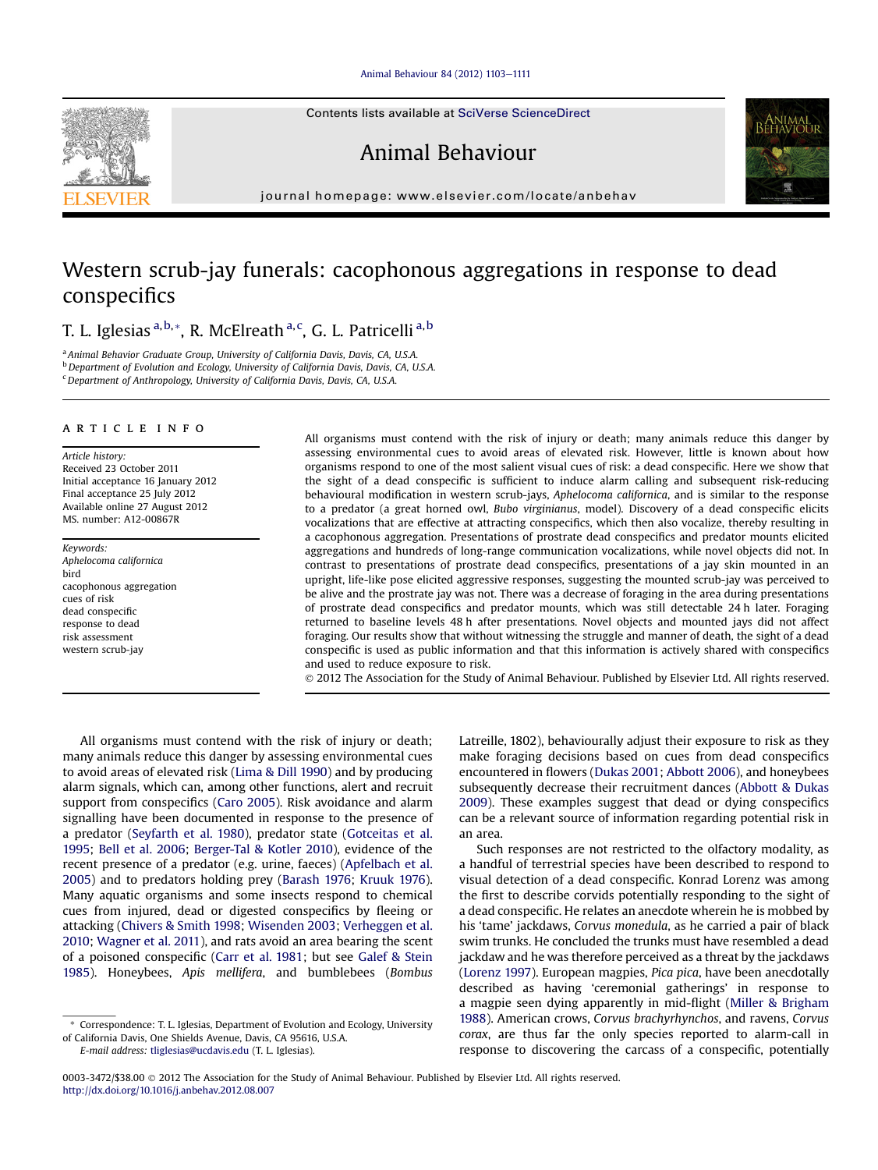# Animal Behaviour 84 (2012) 1103-1111

Contents lists available at SciVerse ScienceDirect

Animal Behaviour



# Western scrub-jay funerals: cacophonous aggregations in response to dead conspecifics

T. L. Iglesias <sup>a, b,</sup> \*, R. McElreath <sup>a, c</sup>, G. L. Patricelli <sup>a, b</sup>

<sup>a</sup> Animal Behavior Graduate Group, University of California Davis, Davis, CA, U.S.A.  $<sup>b</sup>$  Department of Evolution and Ecology, University of California Davis, Davis, CA, U.S.A.</sup>  $c$  Department of Anthropology, University of California Davis, Davis, CA, U.S.A.

### article info

Article history: Received 23 October 2011 Initial acceptance 16 January 2012 Final acceptance 25 July 2012 Available online 27 August 2012 MS. number: A12-00867R

Keywords: Aphelocoma californica bird cacophonous aggregation cues of risk dead conspecific response to dead risk assessment western scrub-jay

All organisms must contend with the risk of injury or death; many animals reduce this danger by assessing environmental cues to avoid areas of elevated risk. However, little is known about how organisms respond to one of the most salient visual cues of risk: a dead conspecific. Here we show that the sight of a dead conspecific is sufficient to induce alarm calling and subsequent risk-reducing behavioural modification in western scrub-jays, Aphelocoma californica, and is similar to the response to a predator (a great horned owl, Bubo virginianus, model). Discovery of a dead conspecific elicits vocalizations that are effective at attracting conspecifics, which then also vocalize, thereby resulting in a cacophonous aggregation. Presentations of prostrate dead conspecifics and predator mounts elicited aggregations and hundreds of long-range communication vocalizations, while novel objects did not. In contrast to presentations of prostrate dead conspecifics, presentations of a jay skin mounted in an upright, life-like pose elicited aggressive responses, suggesting the mounted scrub-jay was perceived to be alive and the prostrate jay was not. There was a decrease of foraging in the area during presentations of prostrate dead conspecifics and predator mounts, which was still detectable 24 h later. Foraging returned to baseline levels 48 h after presentations. Novel objects and mounted jays did not affect foraging. Our results show that without witnessing the struggle and manner of death, the sight of a dead conspecific is used as public information and that this information is actively shared with conspecifics and used to reduce exposure to risk.

2012 The Association for the Study of Animal Behaviour. Published by Elsevier Ltd. All rights reserved.

All organisms must contend with the risk of injury or death; many animals reduce this danger by assessing environmental cues to avoid areas of elevated risk (Lima & Dill 1990) and by producing alarm signals, which can, among other functions, alert and recruit support from conspecifics (Caro 2005). Risk avoidance and alarm signalling have been documented in response to the presence of a predator (Seyfarth et al. 1980), predator state (Gotceitas et al. 1995; Bell et al. 2006; Berger-Tal & Kotler 2010), evidence of the recent presence of a predator (e.g. urine, faeces) (Apfelbach et al. 2005) and to predators holding prey (Barash 1976; Kruuk 1976). Many aquatic organisms and some insects respond to chemical cues from injured, dead or digested conspecifics by fleeing or attacking (Chivers & Smith 1998; Wisenden 2003; Verheggen et al. 2010; Wagner et al. 2011), and rats avoid an area bearing the scent of a poisoned conspecific (Carr et al. 1981; but see Galef & Stein 1985). Honeybees, Apis mellifera, and bumblebees (Bombus

E-mail address: tliglesias@ucdavis.edu (T. L. Iglesias).

Latreille, 1802), behaviourally adjust their exposure to risk as they make foraging decisions based on cues from dead conspecifics encountered in flowers (Dukas 2001; Abbott 2006), and honeybees subsequently decrease their recruitment dances (Abbott & Dukas 2009). These examples suggest that dead or dying conspecifics can be a relevant source of information regarding potential risk in an area.

Such responses are not restricted to the olfactory modality, as a handful of terrestrial species have been described to respond to visual detection of a dead conspecific. Konrad Lorenz was among the first to describe corvids potentially responding to the sight of a dead conspecific. He relates an anecdote wherein he is mobbed by his 'tame' jackdaws, Corvus monedula, as he carried a pair of black swim trunks. He concluded the trunks must have resembled a dead jackdaw and he was therefore perceived as a threat by the jackdaws (Lorenz 1997). European magpies, Pica pica, have been anecdotally described as having 'ceremonial gatherings' in response to a magpie seen dying apparently in mid-flight (Miller & Brigham 1988). American crows, Corvus brachyrhynchos, and ravens, Corvus corax, are thus far the only species reported to alarm-call in response to discovering the carcass of a conspecific, potentially





Correspondence: T. L. Iglesias, Department of Evolution and Ecology, University of California Davis, One Shields Avenue, Davis, CA 95616, U.S.A.

<sup>0003-3472/\$38.00</sup> 2012 The Association for the Study of Animal Behaviour. Published by Elsevier Ltd. All rights reserved. http://dx.doi.org/10.1016/j.anbehav.2012.08.007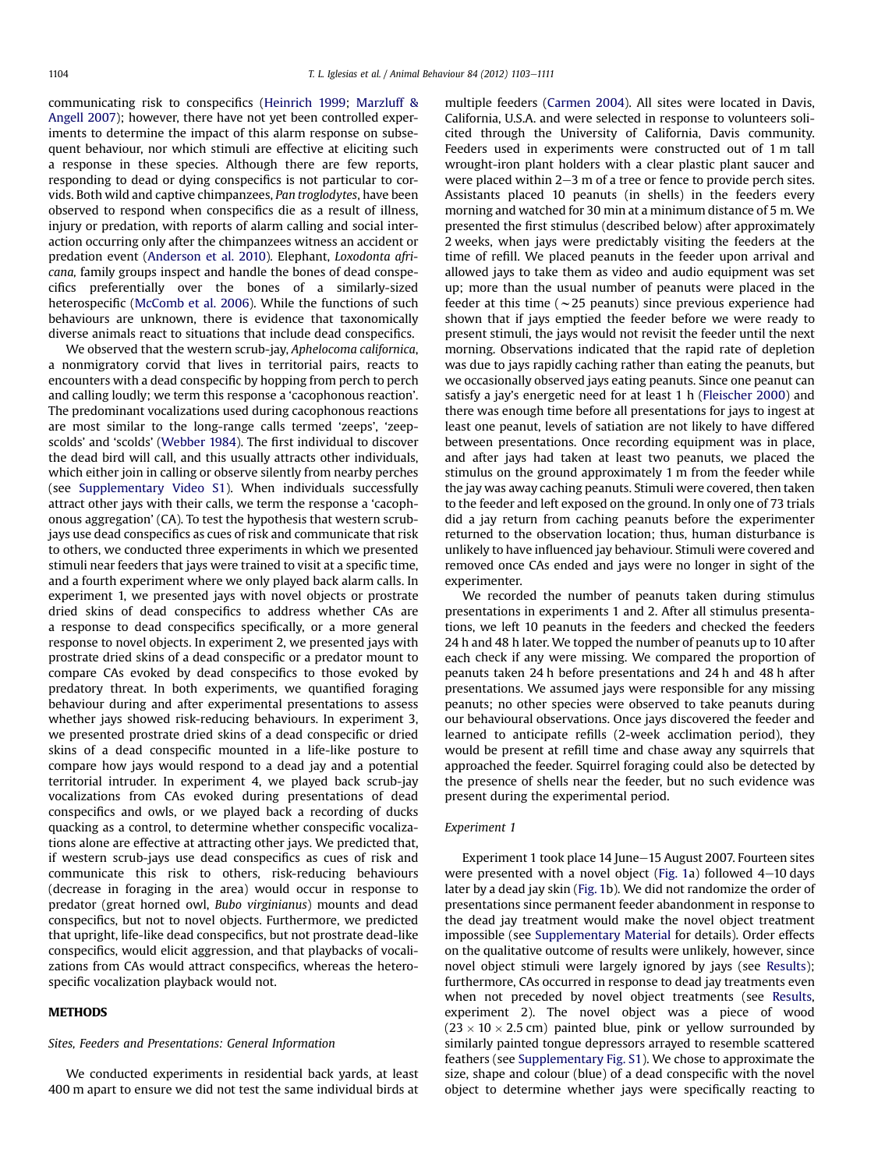communicating risk to conspecifics (Heinrich 1999; Marzluff & Angell 2007); however, there have not yet been controlled experiments to determine the impact of this alarm response on subsequent behaviour, nor which stimuli are effective at eliciting such a response in these species. Although there are few reports, responding to dead or dying conspecifics is not particular to corvids. Both wild and captive chimpanzees, Pan troglodytes, have been observed to respond when conspecifics die as a result of illness, injury or predation, with reports of alarm calling and social interaction occurring only after the chimpanzees witness an accident or predation event (Anderson et al. 2010). Elephant, Loxodonta africana, family groups inspect and handle the bones of dead conspecifics preferentially over the bones of a similarly-sized heterospecific (McComb et al. 2006). While the functions of such behaviours are unknown, there is evidence that taxonomically diverse animals react to situations that include dead conspecifics.

We observed that the western scrub-jay, Aphelocoma californica, a nonmigratory corvid that lives in territorial pairs, reacts to encounters with a dead conspecific by hopping from perch to perch and calling loudly; we term this response a 'cacophonous reaction'. The predominant vocalizations used during cacophonous reactions are most similar to the long-range calls termed 'zeeps', 'zeepscolds' and 'scolds' (Webber 1984). The first individual to discover the dead bird will call, and this usually attracts other individuals, which either join in calling or observe silently from nearby perches (see Supplementary Video S1). When individuals successfully attract other jays with their calls, we term the response a 'cacophonous aggregation' (CA). To test the hypothesis that western scrubjays use dead conspecifics as cues of risk and communicate that risk to others, we conducted three experiments in which we presented stimuli near feeders that jays were trained to visit at a specific time, and a fourth experiment where we only played back alarm calls. In experiment 1, we presented jays with novel objects or prostrate dried skins of dead conspecifics to address whether CAs are a response to dead conspecifics specifically, or a more general response to novel objects. In experiment 2, we presented jays with prostrate dried skins of a dead conspecific or a predator mount to compare CAs evoked by dead conspecifics to those evoked by predatory threat. In both experiments, we quantified foraging behaviour during and after experimental presentations to assess whether jays showed risk-reducing behaviours. In experiment 3, we presented prostrate dried skins of a dead conspecific or dried skins of a dead conspecific mounted in a life-like posture to compare how jays would respond to a dead jay and a potential territorial intruder. In experiment 4, we played back scrub-jay vocalizations from CAs evoked during presentations of dead conspecifics and owls, or we played back a recording of ducks quacking as a control, to determine whether conspecific vocalizations alone are effective at attracting other jays. We predicted that, if western scrub-jays use dead conspecifics as cues of risk and communicate this risk to others, risk-reducing behaviours (decrease in foraging in the area) would occur in response to predator (great horned owl, Bubo virginianus) mounts and dead conspecifics, but not to novel objects. Furthermore, we predicted that upright, life-like dead conspecifics, but not prostrate dead-like conspecifics, would elicit aggression, and that playbacks of vocalizations from CAs would attract conspecifics, whereas the heterospecific vocalization playback would not.

# METHODS

## Sites, Feeders and Presentations: General Information

We conducted experiments in residential back yards, at least 400 m apart to ensure we did not test the same individual birds at multiple feeders (Carmen 2004). All sites were located in Davis, California, U.S.A. and were selected in response to volunteers solicited through the University of California, Davis community. Feeders used in experiments were constructed out of 1 m tall wrought-iron plant holders with a clear plastic plant saucer and were placed within  $2-3$  m of a tree or fence to provide perch sites. Assistants placed 10 peanuts (in shells) in the feeders every morning and watched for 30 min at a minimum distance of 5 m. We presented the first stimulus (described below) after approximately 2 weeks, when jays were predictably visiting the feeders at the time of refill. We placed peanuts in the feeder upon arrival and allowed jays to take them as video and audio equipment was set up; more than the usual number of peanuts were placed in the feeder at this time ( $\sim$ 25 peanuts) since previous experience had shown that if jays emptied the feeder before we were ready to present stimuli, the jays would not revisit the feeder until the next morning. Observations indicated that the rapid rate of depletion was due to jays rapidly caching rather than eating the peanuts, but we occasionally observed jays eating peanuts. Since one peanut can satisfy a jay's energetic need for at least 1 h (Fleischer 2000) and there was enough time before all presentations for jays to ingest at least one peanut, levels of satiation are not likely to have differed between presentations. Once recording equipment was in place, and after jays had taken at least two peanuts, we placed the stimulus on the ground approximately 1 m from the feeder while the jay was away caching peanuts. Stimuli were covered, then taken to the feeder and left exposed on the ground. In only one of 73 trials did a jay return from caching peanuts before the experimenter returned to the observation location; thus, human disturbance is unlikely to have influenced jay behaviour. Stimuli were covered and removed once CAs ended and jays were no longer in sight of the experimenter.

We recorded the number of peanuts taken during stimulus presentations in experiments 1 and 2. After all stimulus presentations, we left 10 peanuts in the feeders and checked the feeders 24 h and 48 h later. We topped the number of peanuts up to 10 after each check if any were missing. We compared the proportion of peanuts taken 24 h before presentations and 24 h and 48 h after presentations. We assumed jays were responsible for any missing peanuts; no other species were observed to take peanuts during our behavioural observations. Once jays discovered the feeder and learned to anticipate refills (2-week acclimation period), they would be present at refill time and chase away any squirrels that approached the feeder. Squirrel foraging could also be detected by the presence of shells near the feeder, but no such evidence was present during the experimental period.

# Experiment 1

Experiment 1 took place 14 June-15 August 2007. Fourteen sites were presented with a novel object (Fig. 1a) followed  $4-10$  days later by a dead jay skin (Fig. 1b). We did not randomize the order of presentations since permanent feeder abandonment in response to the dead jay treatment would make the novel object treatment impossible (see Supplementary Material for details). Order effects on the qualitative outcome of results were unlikely, however, since novel object stimuli were largely ignored by jays (see Results); furthermore, CAs occurred in response to dead jay treatments even when not preceded by novel object treatments (see Results, experiment 2). The novel object was a piece of wood  $(23 \times 10 \times 2.5$  cm) painted blue, pink or yellow surrounded by similarly painted tongue depressors arrayed to resemble scattered feathers (see Supplementary Fig. S1). We chose to approximate the size, shape and colour (blue) of a dead conspecific with the novel object to determine whether jays were specifically reacting to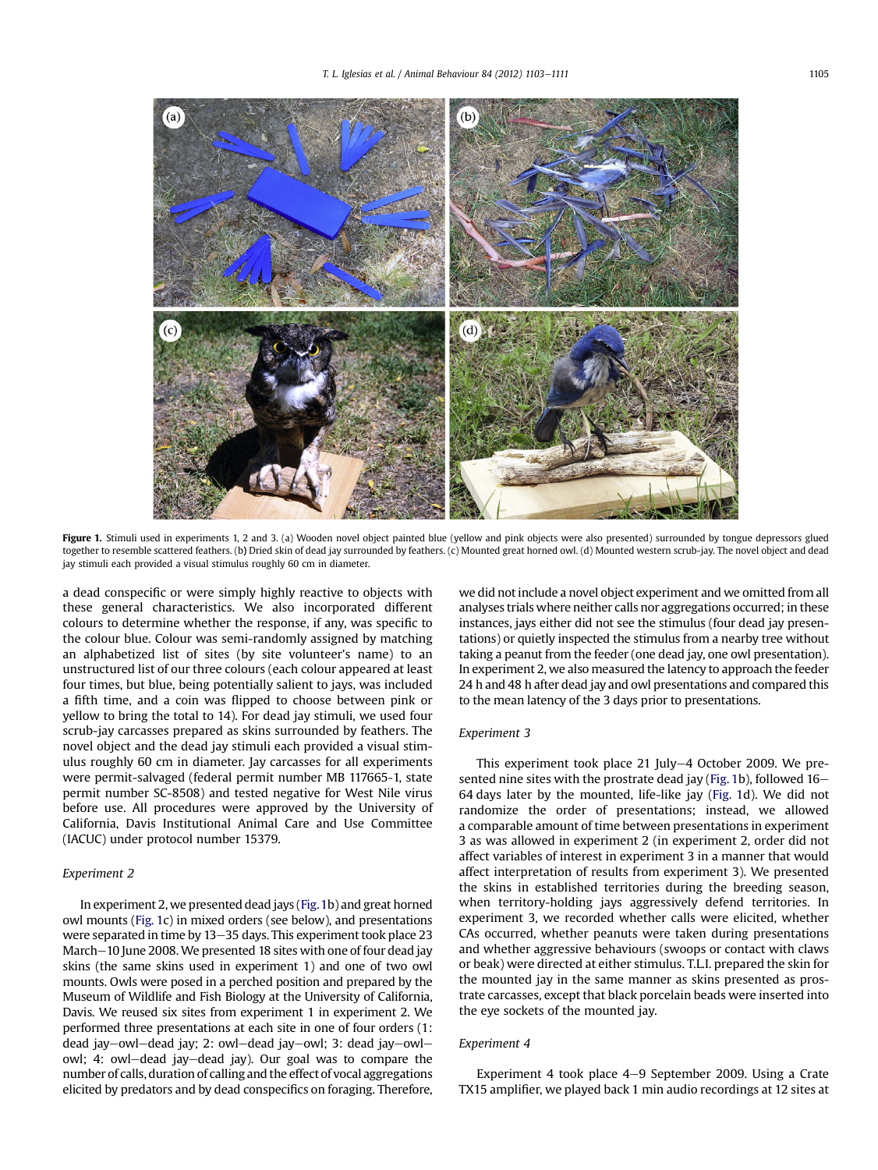

Figure 1. Stimuli used in experiments 1, 2 and 3. (a) Wooden novel object painted blue (yellow and pink objects were also presented) surrounded by tongue depressors glued together to resemble scattered feathers. (b) Dried skin of dead jay surrounded by feathers. (c) Mounted great horned owl. (d) Mounted western scrub-jay. The novel object and dead jay stimuli each provided a visual stimulus roughly 60 cm in diameter.

a dead conspecific or were simply highly reactive to objects with these general characteristics. We also incorporated different colours to determine whether the response, if any, was specific to the colour blue. Colour was semi-randomly assigned by matching an alphabetized list of sites (by site volunteer's name) to an unstructured list of our three colours (each colour appeared at least four times, but blue, being potentially salient to jays, was included a fifth time, and a coin was flipped to choose between pink or yellow to bring the total to 14). For dead jay stimuli, we used four scrub-jay carcasses prepared as skins surrounded by feathers. The novel object and the dead jay stimuli each provided a visual stimulus roughly 60 cm in diameter. Jay carcasses for all experiments were permit-salvaged (federal permit number MB 117665-1, state permit number SC-8508) and tested negative for West Nile virus before use. All procedures were approved by the University of California, Davis Institutional Animal Care and Use Committee (IACUC) under protocol number 15379.

# Experiment 2

In experiment 2, we presented dead jays (Fig.1b) and great horned owl mounts (Fig. 1c) in mixed orders (see below), and presentations were separated in time by  $13-35$  days. This experiment took place 23 March-10 June 2008. We presented 18 sites with one of four dead jay skins (the same skins used in experiment 1) and one of two owl mounts. Owls were posed in a perched position and prepared by the Museum of Wildlife and Fish Biology at the University of California, Davis. We reused six sites from experiment 1 in experiment 2. We performed three presentations at each site in one of four orders (1: dead jay-owl-dead jay; 2: owl-dead jay-owl; 3: dead jay-owlowl; 4: owl-dead jay-dead jay). Our goal was to compare the number of calls, duration of calling and the effect of vocal aggregations elicited by predators and by dead conspecifics on foraging. Therefore, we did not include a novel object experiment and we omitted from all analyses trials where neither calls nor aggregations occurred; in these instances, jays either did not see the stimulus (four dead jay presentations) or quietly inspected the stimulus from a nearby tree without taking a peanut from the feeder (one dead jay, one owl presentation). In experiment 2, we also measured the latency to approach the feeder 24 h and 48 h after dead jay and owl presentations and compared this to the mean latency of the 3 days prior to presentations.

# Experiment 3

This experiment took place 21 July-4 October 2009. We presented nine sites with the prostrate dead jay (Fig. 1b), followed 16-64 days later by the mounted, life-like jay (Fig. 1d). We did not randomize the order of presentations; instead, we allowed a comparable amount of time between presentations in experiment 3 as was allowed in experiment 2 (in experiment 2, order did not affect variables of interest in experiment 3 in a manner that would affect interpretation of results from experiment 3). We presented the skins in established territories during the breeding season, when territory-holding jays aggressively defend territories. In experiment 3, we recorded whether calls were elicited, whether CAs occurred, whether peanuts were taken during presentations and whether aggressive behaviours (swoops or contact with claws or beak) were directed at either stimulus. T.L.I. prepared the skin for the mounted jay in the same manner as skins presented as prostrate carcasses, except that black porcelain beads were inserted into the eye sockets of the mounted jay.

# Experiment 4

Experiment 4 took place  $4-9$  September 2009. Using a Crate TX15 amplifier, we played back 1 min audio recordings at 12 sites at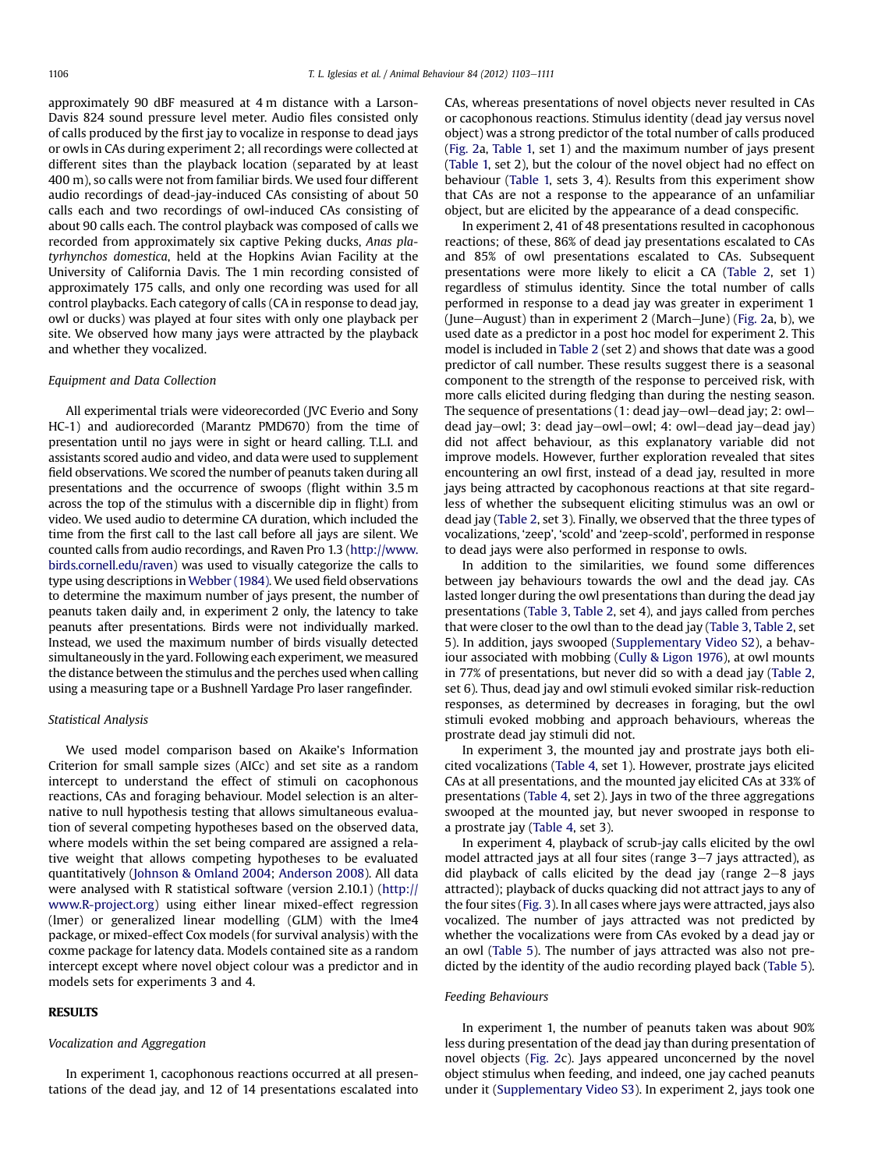approximately 90 dBF measured at 4 m distance with a Larson-Davis 824 sound pressure level meter. Audio files consisted only of calls produced by the first jay to vocalize in response to dead jays or owls in CAs during experiment 2; all recordings were collected at different sites than the playback location (separated by at least 400 m), so calls were not from familiar birds. We used four different audio recordings of dead-jay-induced CAs consisting of about 50 calls each and two recordings of owl-induced CAs consisting of about 90 calls each. The control playback was composed of calls we recorded from approximately six captive Peking ducks, Anas platyrhynchos domestica, held at the Hopkins Avian Facility at the University of California Davis. The 1 min recording consisted of approximately 175 calls, and only one recording was used for all control playbacks. Each category of calls (CA in response to dead jay, owl or ducks) was played at four sites with only one playback per site. We observed how many jays were attracted by the playback and whether they vocalized.

# Equipment and Data Collection

All experimental trials were videorecorded (JVC Everio and Sony HC-1) and audiorecorded (Marantz PMD670) from the time of presentation until no jays were in sight or heard calling. T.L.I. and assistants scored audio and video, and data were used to supplement field observations. We scored the number of peanuts taken during all presentations and the occurrence of swoops (flight within 3.5 m across the top of the stimulus with a discernible dip in flight) from video. We used audio to determine CA duration, which included the time from the first call to the last call before all jays are silent. We counted calls from audio recordings, and Raven Pro 1.3 (http://www. birds.cornell.edu/raven) was used to visually categorize the calls to type using descriptions in Webber (1984). We used field observations to determine the maximum number of jays present, the number of peanuts taken daily and, in experiment 2 only, the latency to take peanuts after presentations. Birds were not individually marked. Instead, we used the maximum number of birds visually detected simultaneously in the yard. Following each experiment, we measured the distance between the stimulus and the perches used when calling using a measuring tape or a Bushnell Yardage Pro laser rangefinder.

## Statistical Analysis

We used model comparison based on Akaike's Information Criterion for small sample sizes (AICc) and set site as a random intercept to understand the effect of stimuli on cacophonous reactions, CAs and foraging behaviour. Model selection is an alternative to null hypothesis testing that allows simultaneous evaluation of several competing hypotheses based on the observed data, where models within the set being compared are assigned a relative weight that allows competing hypotheses to be evaluated quantitatively (Johnson & Omland 2004; Anderson 2008). All data were analysed with R statistical software (version 2.10.1) (http:// www.R-project.org) using either linear mixed-effect regression (lmer) or generalized linear modelling (GLM) with the lme4 package, or mixed-effect Cox models (for survival analysis) with the coxme package for latency data. Models contained site as a random intercept except where novel object colour was a predictor and in models sets for experiments 3 and 4.

# RESULTS

## Vocalization and Aggregation

In experiment 1, cacophonous reactions occurred at all presentations of the dead jay, and 12 of 14 presentations escalated into CAs, whereas presentations of novel objects never resulted in CAs or cacophonous reactions. Stimulus identity (dead jay versus novel object) was a strong predictor of the total number of calls produced (Fig. 2a, Table 1, set 1) and the maximum number of jays present (Table 1, set 2), but the colour of the novel object had no effect on behaviour (Table 1, sets 3, 4). Results from this experiment show that CAs are not a response to the appearance of an unfamiliar object, but are elicited by the appearance of a dead conspecific.

In experiment 2, 41 of 48 presentations resulted in cacophonous reactions; of these, 86% of dead jay presentations escalated to CAs and 85% of owl presentations escalated to CAs. Subsequent presentations were more likely to elicit a CA (Table 2, set 1) regardless of stimulus identity. Since the total number of calls performed in response to a dead jay was greater in experiment 1 (June-August) than in experiment 2 (March-June) (Fig. 2a, b), we used date as a predictor in a post hoc model for experiment 2. This model is included in Table 2 (set 2) and shows that date was a good predictor of call number. These results suggest there is a seasonal component to the strength of the response to perceived risk, with more calls elicited during fledging than during the nesting season. The sequence of presentations  $(1: dead$  jay $-owl$  dead jay; 2: owldead jay $-$ owl; 3: dead jay $-$ owl $-$ owl; 4: owl $-$ dead jay $-$ dead jay) did not affect behaviour, as this explanatory variable did not improve models. However, further exploration revealed that sites encountering an owl first, instead of a dead jay, resulted in more jays being attracted by cacophonous reactions at that site regardless of whether the subsequent eliciting stimulus was an owl or dead jay (Table 2, set 3). Finally, we observed that the three types of vocalizations, 'zeep', 'scold' and 'zeep-scold', performed in response to dead jays were also performed in response to owls.

In addition to the similarities, we found some differences between jay behaviours towards the owl and the dead jay. CAs lasted longer during the owl presentations than during the dead jay presentations (Table 3, Table 2, set 4), and jays called from perches that were closer to the owl than to the dead jay (Table 3, Table 2, set 5). In addition, jays swooped (Supplementary Video S2), a behaviour associated with mobbing (Cully & Ligon 1976), at owl mounts in 77% of presentations, but never did so with a dead jay (Table 2, set 6). Thus, dead jay and owl stimuli evoked similar risk-reduction responses, as determined by decreases in foraging, but the owl stimuli evoked mobbing and approach behaviours, whereas the prostrate dead jay stimuli did not.

In experiment 3, the mounted jay and prostrate jays both elicited vocalizations (Table 4, set 1). However, prostrate jays elicited CAs at all presentations, and the mounted jay elicited CAs at 33% of presentations (Table 4, set 2). Jays in two of the three aggregations swooped at the mounted jay, but never swooped in response to a prostrate jay (Table 4, set 3).

In experiment 4, playback of scrub-jay calls elicited by the owl model attracted jays at all four sites (range 3-7 jays attracted), as did playback of calls elicited by the dead jay (range  $2-8$  jays attracted); playback of ducks quacking did not attract jays to any of the four sites (Fig. 3). In all cases where jays were attracted, jays also vocalized. The number of jays attracted was not predicted by whether the vocalizations were from CAs evoked by a dead jay or an owl (Table 5). The number of jays attracted was also not predicted by the identity of the audio recording played back (Table 5).

#### Feeding Behaviours

In experiment 1, the number of peanuts taken was about 90% less during presentation of the dead jay than during presentation of novel objects (Fig. 2c). Jays appeared unconcerned by the novel object stimulus when feeding, and indeed, one jay cached peanuts under it (Supplementary Video S3). In experiment 2, jays took one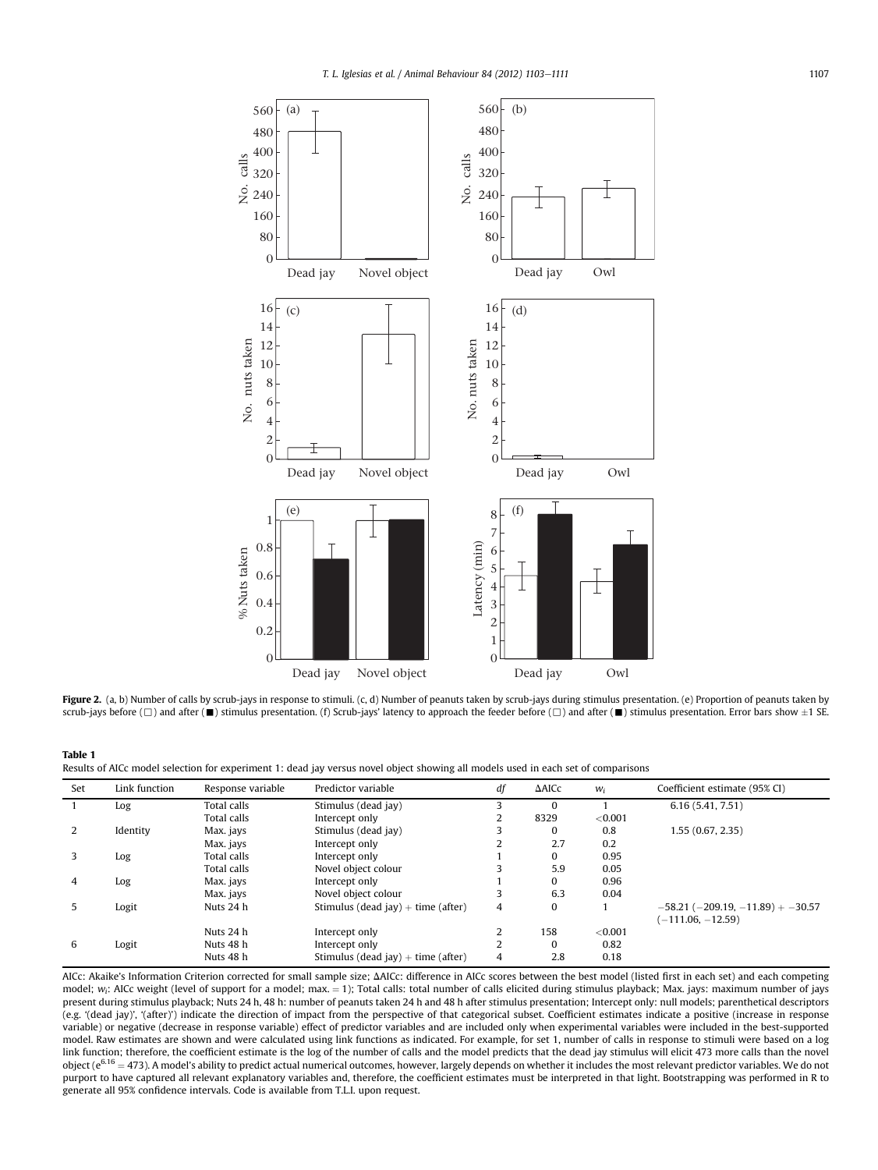

Figure 2. (a, b) Number of calls by scrub-jays in response to stimuli. (c, d) Number of peanuts taken by scrub-jays during stimulus presentation. (e) Proportion of peanuts taken by scrub-jays before ( $\Box$ ) and after ( $\blacksquare$ ) stimulus presentation. (f) Scrub-jays' latency to approach the feeder before ( $\Box$ ) and after ( $\blacksquare$ ) stimulus presentation. Error bars show  $\pm 1$  SE.

Table 1

Results of AICc model selection for experiment 1: dead jay versus novel object showing all models used in each set of comparisons

| Set | Link function | Response variable | Predictor variable                   | df             | <b>AAICc</b> | $W_i$      | Coefficient estimate (95% CI)                |
|-----|---------------|-------------------|--------------------------------------|----------------|--------------|------------|----------------------------------------------|
|     | Log           | Total calls       | Stimulus (dead jay)                  |                | $\Omega$     |            | 6.16(5.41, 7.51)                             |
|     |               | Total calls       | Intercept only                       | 2              | 8329         | ${<}0.001$ |                                              |
|     | Identity      | Max. jays         | Stimulus (dead jay)                  |                | $\Omega$     | 0.8        | 1.55(0.67, 2.35)                             |
|     |               | Max. jays         | Intercept only                       |                | 2.7          | 0.2        |                                              |
|     | Log           | Total calls       | Intercept only                       |                | 0            | 0.95       |                                              |
|     |               | Total calls       | Novel object colour                  |                | 5.9          | 0.05       |                                              |
| 4   | Log           | Max. jays         | Intercept only                       |                | 0            | 0.96       |                                              |
|     |               | Max. jays         | Novel object colour                  | З              | 6.3          | 0.04       |                                              |
| 5   | Logit         | Nuts 24 h         | Stimulus (dead jay) + time (after)   | 4              | 0            |            | $-58.21$ ( $-209.19$ , $-11.89$ ) + $-30.57$ |
|     |               |                   |                                      |                |              |            | $(-111.06, -12.59)$                          |
|     |               | Nuts 24 h         | Intercept only                       | $\overline{2}$ | 158          | < 0.001    |                                              |
| 6   | Logit         | Nuts 48 h         | Intercept only                       | $\overline{2}$ | $\Omega$     | 0.82       |                                              |
|     |               | Nuts 48 h         | Stimulus (dead jay) $+$ time (after) | 4              | 2.8          | 0.18       |                                              |

AICc: Akaike's Information Criterion corrected for small sample size; AAICc: difference in AICc scores between the best model (listed first in each set) and each competing model; w<sub>i</sub>: AICc weight (level of support for a model; max. = 1); Total calls: total number of calls elicited during stimulus playback; Max. jays: maximum number of jays present during stimulus playback; Nuts 24 h, 48 h: number of peanuts taken 24 h and 48 h after stimulus presentation; Intercept only: null models; parenthetical descriptors (e.g. '(dead jay)', '(after)') indicate the direction of impact from the perspective of that categorical subset. Coefficient estimates indicate a positive (increase in response variable) or negative (decrease in response variable) effect of predictor variables and are included only when experimental variables were included in the best-supported model. Raw estimates are shown and were calculated using link functions as indicated. For example, for set 1, number of calls in response to stimuli were based on a log link function; therefore, the coefficient estimate is the log of the number of calls and the model predicts that the dead jay stimulus will elicit 473 more calls than the novel object ( $e^{6.16} = 473$ ). A model's ability to predict actual numerical outcomes, however, largely depends on whether it includes the most relevant predictor variables. We do not purport to have captured all relevant explanatory variables and, therefore, the coefficient estimates must be interpreted in that light. Bootstrapping was performed in R to generate all 95% confidence intervals. Code is available from T.L.I. upon request.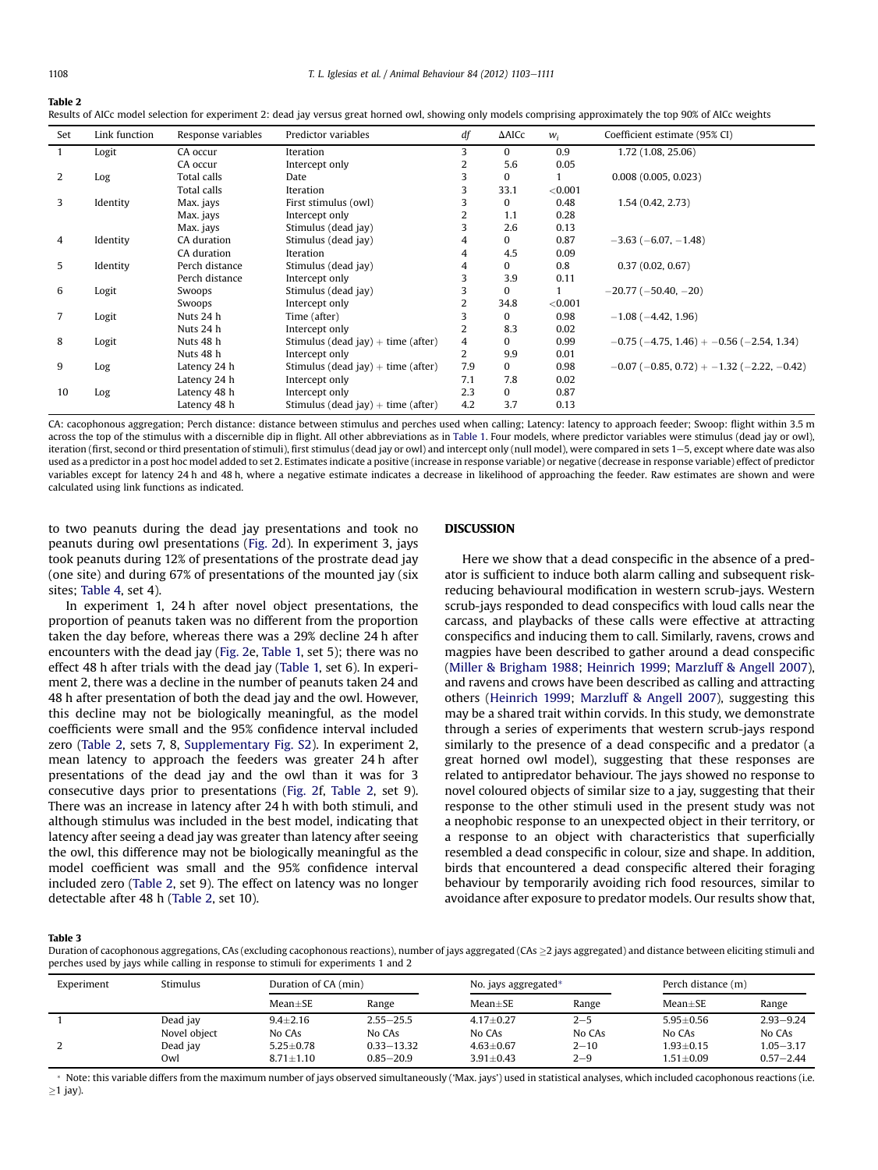Table 2

| Results of AICc model selection for experiment 2: dead jay versus great horned owl, showing only models comprising approximately the top 90% of AICc weights |  |  |  |
|--------------------------------------------------------------------------------------------------------------------------------------------------------------|--|--|--|
|                                                                                                                                                              |  |  |  |

| Set | Link function | Response variables | Predictor variables                  | df  | $\triangle$ AICc | $W_i$   | Coefficient estimate (95% CI)                                |
|-----|---------------|--------------------|--------------------------------------|-----|------------------|---------|--------------------------------------------------------------|
|     | Logit         | CA occur           | Iteration                            | 3   | $\Omega$         | 0.9     | 1.72 (1.08, 25.06)                                           |
|     |               | CA occur           | Intercept only                       | 2   | 5.6              | 0.05    |                                                              |
| 2   | Log           | Total calls        | Date                                 | 3   | 0                |         | 0.008(0.005, 0.023)                                          |
|     |               | Total calls        | Iteration                            | 3   | 33.1             | < 0.001 |                                                              |
| 3   | Identity      | Max. jays          | First stimulus (owl)                 |     | $\Omega$         | 0.48    | 1.54(0.42, 2.73)                                             |
|     |               | Max. jays          | Intercept only                       | 2   | 1.1              | 0.28    |                                                              |
|     |               | Max. jays          | Stimulus (dead jay)                  | 3   | 2.6              | 0.13    |                                                              |
| 4   | Identity      | CA duration        | Stimulus (dead jay)                  | 4   | 0                | 0.87    | $-3.63$ ( $-6.07, -1.48$ )                                   |
|     |               | CA duration        | Iteration                            | 4   | 4.5              | 0.09    |                                                              |
| 5   | Identity      | Perch distance     | Stimulus (dead jay)                  |     | $\Omega$         | 0.8     | 0.37(0.02, 0.67)                                             |
|     |               | Perch distance     | Intercept only                       | 3   | 3.9              | 0.11    |                                                              |
| 6   | Logit         | Swoops             | Stimulus (dead jay)                  | 3   | $\Omega$         |         | $-20.77(-50.40,-20)$                                         |
|     |               | Swoops             | Intercept only                       | 2   | 34.8             | < 0.001 |                                                              |
| 7   | Logit         | Nuts 24 h          | Time (after)                         | 3   | 0                | 0.98    | $-1.08$ ( $-4.42$ , 1.96)                                    |
|     |               | Nuts 24 h          | Intercept only                       | 2   | 8.3              | 0.02    |                                                              |
| 8   | Logit         | Nuts 48 h          | Stimulus (dead jay) $+$ time (after) | 4   | $\Omega$         | 0.99    | $-0.75$ ( $-4.75$ , 1.46) + $-0.56$ ( $-2.54$ , 1.34)        |
|     |               | Nuts 48 h          | Intercept only                       | 2   | 9.9              | 0.01    |                                                              |
| 9   | Log           | Latency 24 h       | Stimulus (dead jay) $+$ time (after) | 7.9 | $\Omega$         | 0.98    | $-0.07$ ( $-0.85$ , $0.72$ ) + $-1.32$ ( $-2.22$ , $-0.42$ ) |
|     |               | Latency 24 h       | Intercept only                       | 7.1 | 7.8              | 0.02    |                                                              |
| 10  | Log           | Latency 48 h       | Intercept only                       | 2.3 | $\Omega$         | 0.87    |                                                              |
|     |               | Latency 48 h       | Stimulus (dead jay) + time (after)   | 4.2 | 3.7              | 0.13    |                                                              |

CA: cacophonous aggregation; Perch distance: distance between stimulus and perches used when calling; Latency: latency to approach feeder; Swoop: flight within 3.5 m across the top of the stimulus with a discernible dip in flight. All other abbreviations as in Table 1. Four models, where predictor variables were stimulus (dead jay or owl), iteration (first, second or third presentation of stimuli), first stimulus (dead jay or owl) and intercept only (null model), were compared in sets 1-5, except where date was also used as a predictor in a post hoc model added to set 2. Estimates indicate a positive (increase in response variable) or negative (decrease in response variable) effect of predictor variables except for latency 24 h and 48 h, where a negative estimate indicates a decrease in likelihood of approaching the feeder. Raw estimates are shown and were calculated using link functions as indicated.

to two peanuts during the dead jay presentations and took no peanuts during owl presentations (Fig. 2d). In experiment 3, jays took peanuts during 12% of presentations of the prostrate dead jay (one site) and during 67% of presentations of the mounted jay (six sites; Table 4, set 4).

In experiment 1, 24 h after novel object presentations, the proportion of peanuts taken was no different from the proportion taken the day before, whereas there was a 29% decline 24 h after encounters with the dead jay (Fig. 2e, Table 1, set 5); there was no effect 48 h after trials with the dead jay (Table 1, set 6). In experiment 2, there was a decline in the number of peanuts taken 24 and 48 h after presentation of both the dead jay and the owl. However, this decline may not be biologically meaningful, as the model coefficients were small and the 95% confidence interval included zero (Table 2, sets 7, 8, Supplementary Fig. S2). In experiment 2, mean latency to approach the feeders was greater 24 h after presentations of the dead jay and the owl than it was for 3 consecutive days prior to presentations (Fig. 2f, Table 2, set 9). There was an increase in latency after 24 h with both stimuli, and although stimulus was included in the best model, indicating that latency after seeing a dead jay was greater than latency after seeing the owl, this difference may not be biologically meaningful as the model coefficient was small and the 95% confidence interval included zero (Table 2, set 9). The effect on latency was no longer detectable after 48 h (Table 2, set 10).

# **DISCUSSION**

Here we show that a dead conspecific in the absence of a predator is sufficient to induce both alarm calling and subsequent riskreducing behavioural modification in western scrub-jays. Western scrub-jays responded to dead conspecifics with loud calls near the carcass, and playbacks of these calls were effective at attracting conspecifics and inducing them to call. Similarly, ravens, crows and magpies have been described to gather around a dead conspecific (Miller & Brigham 1988; Heinrich 1999; Marzluff & Angell 2007), and ravens and crows have been described as calling and attracting others (Heinrich 1999; Marzluff & Angell 2007), suggesting this may be a shared trait within corvids. In this study, we demonstrate through a series of experiments that western scrub-jays respond similarly to the presence of a dead conspecific and a predator (a great horned owl model), suggesting that these responses are related to antipredator behaviour. The jays showed no response to novel coloured objects of similar size to a jay, suggesting that their response to the other stimuli used in the present study was not a neophobic response to an unexpected object in their territory, or a response to an object with characteristics that superficially resembled a dead conspecific in colour, size and shape. In addition, birds that encountered a dead conspecific altered their foraging behaviour by temporarily avoiding rich food resources, similar to avoidance after exposure to predator models. Our results show that,

#### Table 3

Duration of cacophonous aggregations, CAs (excluding cacophonous reactions), number of jays aggregated (CAs  $\geq$ 2 jays aggregated) and distance between eliciting stimuli and perches used by jays while calling in response to stimuli for experiments 1 and 2

| Experiment | Stimulus     |                 | Duration of CA (min) |                 | No. jays aggregated* | Perch distance (m) |               |
|------------|--------------|-----------------|----------------------|-----------------|----------------------|--------------------|---------------|
|            |              | $Mean \pm SE$   | Range                | Mean $\pm$ SE   | Range                | Mean $\pm$ SE      | Range         |
|            | Dead jay     | $9.4 + 2.16$    | $2.55 - 25.5$        | $4.17 + 0.27$   | $2 - 5$              | $5.95 + 0.56$      | $2.93 - 9.24$ |
|            | Novel object | No CAs          | No CAs               | No CAs          | No CAs               | No CAs             | No CAs        |
|            | Dead jay     | $5.25 \pm 0.78$ | $0.33 - 13.32$       | $4.63 \pm 0.67$ | $2 - 10$             | $1.93 + 0.15$      | $1.05 - 3.17$ |
|            | Owl          | $8.71 \pm 1.10$ | $0.85 - 20.9$        | $3.91 \pm 0.43$ | $2 - 9$              | $1.51 + 0.09$      | $0.57 - 2.44$ |

\* Note: this variable differs from the maximum number of jays observed simultaneously ('Max. jays') used in statistical analyses, which included cacophonous reactions (i.e.  $\geq$ 1 jay).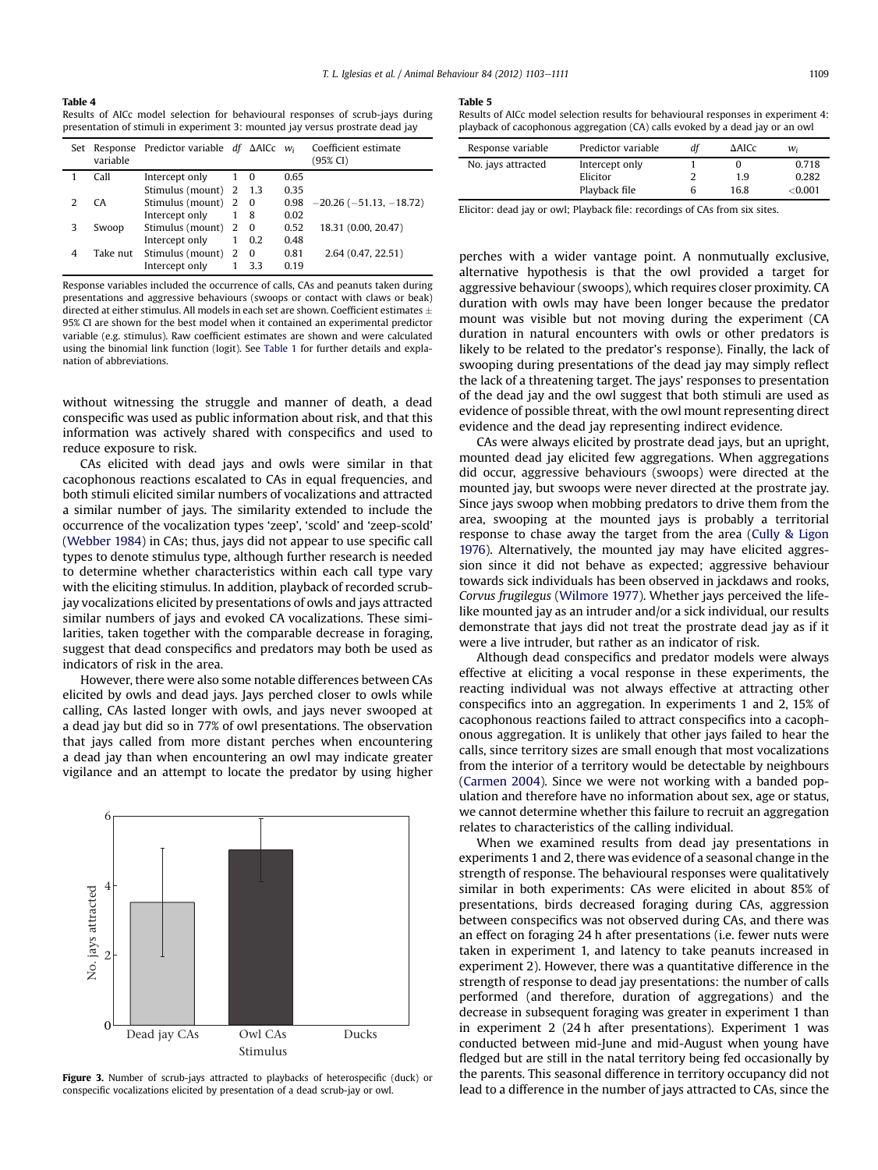Table 4

Results of AICc model selection for behavioural responses of scrub-jays during presentation of stimuli in experiment 3: mounted jay versus prostrate dead jay

|   | variable | Set Response Predictor variable df $\Delta$ AICc $w_i$ |   |          |      | Coefficient estimate<br>(95% CI) |
|---|----------|--------------------------------------------------------|---|----------|------|----------------------------------|
|   | Call     | Intercept only                                         |   | - 0      | 0.65 |                                  |
|   |          | Stimulus (mount) 2 1.3                                 |   |          | 0.35 |                                  |
| っ | CA.      | Stimulus (mount) 2                                     |   | $\alpha$ | 0.98 | $-20.26(-51.13,-18.72)$          |
|   |          | Intercept only                                         |   | 8        | 0.02 |                                  |
| κ | Swoop    | Stimulus (mount) 2                                     |   | $\bf{0}$ | 0.52 | 18.31 (0.00, 20.47)              |
|   |          | Intercept only                                         | 1 | 0.2      | 0.48 |                                  |
| 4 | Take nut | Stimulus (mount)                                       |   | $\Omega$ | 0.81 | 2.64 (0.47, 22.51)               |
|   |          | Intercept only                                         |   | 3.3      | 0.19 |                                  |

Response variables included the occurrence of calls, CAs and peanuts taken during presentations and aggressive behaviours (swoops or contact with claws or beak) directed at either stimulus. All models in each set are shown. Coefficient estimates  $\pm$ 95% CI are shown for the best model when it contained an experimental predictor variable (e.g. stimulus). Raw coefficient estimates are shown and were calculated using the binomial link function (logit). See Table 1 for further details and explanation of abbreviations.

without witnessing the struggle and manner of death, a dead conspecific was used as public information about risk, and that this information was actively shared with conspecifics and used to reduce exposure to risk.

CAs elicited with dead jays and owls were similar in that cacophonous reactions escalated to CAs in equal frequencies, and both stimuli elicited similar numbers of vocalizations and attracted a similar number of jays. The similarity extended to include the occurrence of the vocalization types 'zeep', 'scold' and 'zeep-scold' (Webber 1984) in CAs; thus, jays did not appear to use specific call types to denote stimulus type, although further research is needed to determine whether characteristics within each call type vary with the eliciting stimulus. In addition, playback of recorded scrubjay vocalizations elicited by presentations of owls and jays attracted similar numbers of jays and evoked CA vocalizations. These similarities, taken together with the comparable decrease in foraging, suggest that dead conspecifics and predators may both be used as indicators of risk in the area.

However, there were also some notable differences between CAs elicited by owls and dead jays. Jays perched closer to owls while calling, CAs lasted longer with owls, and jays never swooped at a dead jay but did so in 77% of owl presentations. The observation that jays called from more distant perches when encountering a dead jay than when encountering an owl may indicate greater vigilance and an attempt to locate the predator by using higher



Figure 3. Number of scrub-jays attracted to playbacks of heterospecific (duck) or conspecific vocalizations elicited by presentation of a dead scrub-jay or owl.

#### Table 5

Results of AICc model selection results for behavioural responses in experiment 4: playback of cacophonous aggregation (CA) calls evoked by a dead jay or an owl

| Predictor variable<br>Response variable |                                             | dt | <b>AAICc</b> | w.                        |
|-----------------------------------------|---------------------------------------------|----|--------------|---------------------------|
| No. jays attracted                      | Intercept only<br>Elicitor<br>Playback file |    | 1.9<br>16.8  | 0.718<br>0.282<br>< 0.001 |

Elicitor: dead jay or owl; Playback file: recordings of CAs from six sites.

perches with a wider vantage point. A nonmutually exclusive, alternative hypothesis is that the owl provided a target for aggressive behaviour (swoops), which requires closer proximity. CA duration with owls may have been longer because the predator mount was visible but not moving during the experiment (CA duration in natural encounters with owls or other predators is likely to be related to the predator's response). Finally, the lack of swooping during presentations of the dead jay may simply reflect the lack of a threatening target. The jays' responses to presentation of the dead jay and the owl suggest that both stimuli are used as evidence of possible threat, with the owl mount representing direct evidence and the dead jay representing indirect evidence.

CAs were always elicited by prostrate dead jays, but an upright, mounted dead jay elicited few aggregations. When aggregations did occur, aggressive behaviours (swoops) were directed at the mounted jay, but swoops were never directed at the prostrate jay. Since jays swoop when mobbing predators to drive them from the area, swooping at the mounted jays is probably a territorial response to chase away the target from the area (Cully & Ligon 1976). Alternatively, the mounted jay may have elicited aggression since it did not behave as expected; aggressive behaviour towards sick individuals has been observed in jackdaws and rooks, Corvus frugilegus (Wilmore 1977). Whether jays perceived the lifelike mounted jay as an intruder and/or a sick individual, our results demonstrate that jays did not treat the prostrate dead jay as if it were a live intruder, but rather as an indicator of risk.

Although dead conspecifics and predator models were always effective at eliciting a vocal response in these experiments, the reacting individual was not always effective at attracting other conspecifics into an aggregation. In experiments 1 and 2, 15% of cacophonous reactions failed to attract conspecifics into a cacophonous aggregation. It is unlikely that other jays failed to hear the calls, since territory sizes are small enough that most vocalizations from the interior of a territory would be detectable by neighbours (Carmen 2004). Since we were not working with a banded population and therefore have no information about sex, age or status, we cannot determine whether this failure to recruit an aggregation relates to characteristics of the calling individual.

When we examined results from dead jay presentations in experiments 1 and 2, there was evidence of a seasonal change in the strength of response. The behavioural responses were qualitatively similar in both experiments: CAs were elicited in about 85% of presentations, birds decreased foraging during CAs, aggression between conspecifics was not observed during CAs, and there was an effect on foraging 24 h after presentations (i.e. fewer nuts were taken in experiment 1, and latency to take peanuts increased in experiment 2). However, there was a quantitative difference in the strength of response to dead jay presentations: the number of calls performed (and therefore, duration of aggregations) and the decrease in subsequent foraging was greater in experiment 1 than in experiment 2 (24 h after presentations). Experiment 1 was conducted between mid-June and mid-August when young have fledged but are still in the natal territory being fed occasionally by the parents. This seasonal difference in territory occupancy did not lead to a difference in the number of jays attracted to CAs, since the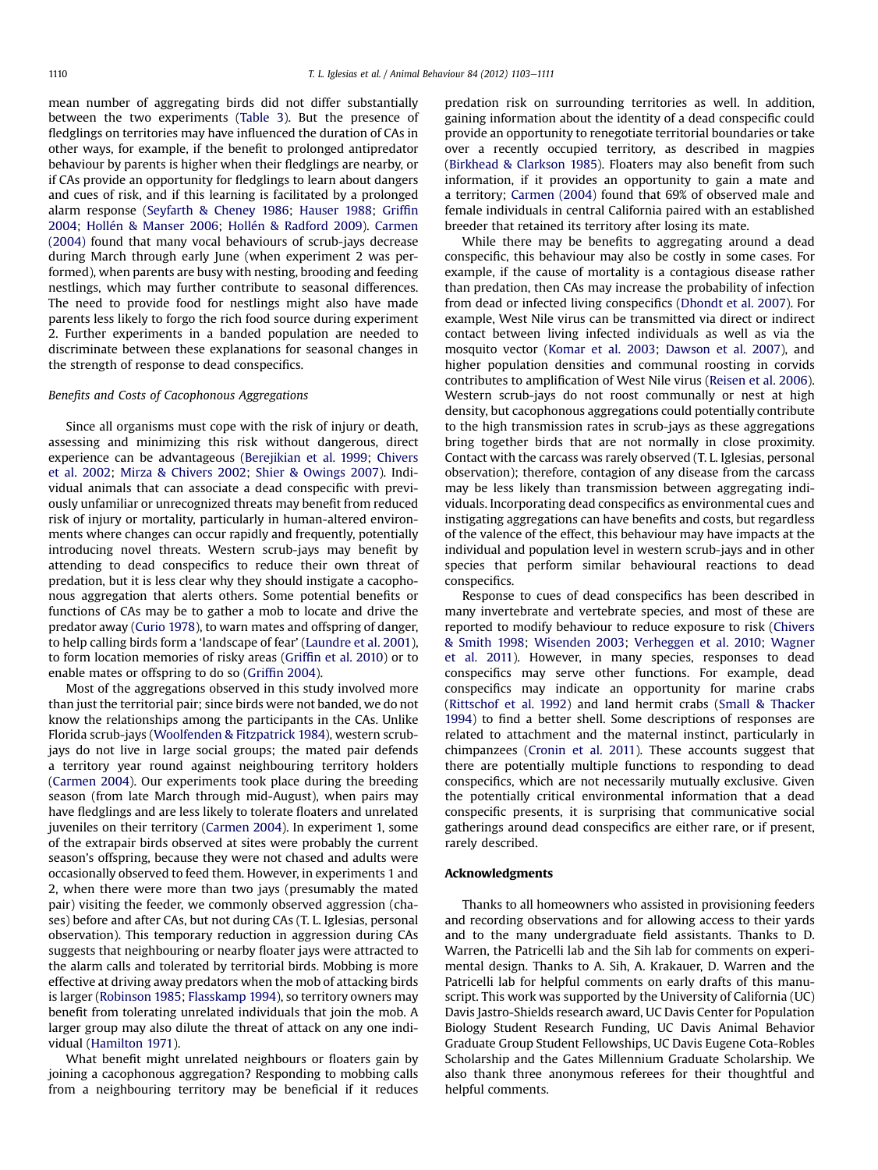mean number of aggregating birds did not differ substantially between the two experiments (Table 3). But the presence of fledglings on territories may have influenced the duration of CAs in other ways, for example, if the benefit to prolonged antipredator behaviour by parents is higher when their fledglings are nearby, or if CAs provide an opportunity for fledglings to learn about dangers and cues of risk, and if this learning is facilitated by a prolonged alarm response (Seyfarth & Cheney 1986; Hauser 1988; Griffin 2004; Hollén & Manser 2006; Hollén & Radford 2009). Carmen (2004) found that many vocal behaviours of scrub-jays decrease during March through early June (when experiment 2 was performed), when parents are busy with nesting, brooding and feeding nestlings, which may further contribute to seasonal differences. The need to provide food for nestlings might also have made parents less likely to forgo the rich food source during experiment 2. Further experiments in a banded population are needed to discriminate between these explanations for seasonal changes in the strength of response to dead conspecifics.

## Benefits and Costs of Cacophonous Aggregations

Since all organisms must cope with the risk of injury or death, assessing and minimizing this risk without dangerous, direct experience can be advantageous (Berejikian et al. 1999; Chivers et al. 2002; Mirza & Chivers 2002; Shier & Owings 2007). Individual animals that can associate a dead conspecific with previously unfamiliar or unrecognized threats may benefit from reduced risk of injury or mortality, particularly in human-altered environments where changes can occur rapidly and frequently, potentially introducing novel threats. Western scrub-jays may benefit by attending to dead conspecifics to reduce their own threat of predation, but it is less clear why they should instigate a cacophonous aggregation that alerts others. Some potential benefits or functions of CAs may be to gather a mob to locate and drive the predator away (Curio 1978), to warn mates and offspring of danger, to help calling birds form a 'landscape of fear' (Laundre et al. 2001), to form location memories of risky areas (Griffin et al. 2010) or to enable mates or offspring to do so (Griffin 2004).

Most of the aggregations observed in this study involved more than just the territorial pair; since birds were not banded, we do not know the relationships among the participants in the CAs. Unlike Florida scrub-jays (Woolfenden & Fitzpatrick 1984), western scrubjays do not live in large social groups; the mated pair defends a territory year round against neighbouring territory holders (Carmen 2004). Our experiments took place during the breeding season (from late March through mid-August), when pairs may have fledglings and are less likely to tolerate floaters and unrelated juveniles on their territory (Carmen 2004). In experiment 1, some of the extrapair birds observed at sites were probably the current season's offspring, because they were not chased and adults were occasionally observed to feed them. However, in experiments 1 and 2, when there were more than two jays (presumably the mated pair) visiting the feeder, we commonly observed aggression (chases) before and after CAs, but not during CAs (T. L. Iglesias, personal observation). This temporary reduction in aggression during CAs suggests that neighbouring or nearby floater jays were attracted to the alarm calls and tolerated by territorial birds. Mobbing is more effective at driving away predators when the mob of attacking birds is larger (Robinson 1985; Flasskamp 1994), so territory owners may benefit from tolerating unrelated individuals that join the mob. A larger group may also dilute the threat of attack on any one individual (Hamilton 1971).

What benefit might unrelated neighbours or floaters gain by joining a cacophonous aggregation? Responding to mobbing calls from a neighbouring territory may be beneficial if it reduces predation risk on surrounding territories as well. In addition, gaining information about the identity of a dead conspecific could provide an opportunity to renegotiate territorial boundaries or take over a recently occupied territory, as described in magpies (Birkhead & Clarkson 1985). Floaters may also benefit from such information, if it provides an opportunity to gain a mate and a territory; Carmen (2004) found that 69% of observed male and female individuals in central California paired with an established breeder that retained its territory after losing its mate.

While there may be benefits to aggregating around a dead conspecific, this behaviour may also be costly in some cases. For example, if the cause of mortality is a contagious disease rather than predation, then CAs may increase the probability of infection from dead or infected living conspecifics (Dhondt et al. 2007). For example, West Nile virus can be transmitted via direct or indirect contact between living infected individuals as well as via the mosquito vector (Komar et al. 2003; Dawson et al. 2007), and higher population densities and communal roosting in corvids contributes to amplification of West Nile virus (Reisen et al. 2006). Western scrub-jays do not roost communally or nest at high density, but cacophonous aggregations could potentially contribute to the high transmission rates in scrub-jays as these aggregations bring together birds that are not normally in close proximity. Contact with the carcass was rarely observed (T. L. Iglesias, personal observation); therefore, contagion of any disease from the carcass may be less likely than transmission between aggregating individuals. Incorporating dead conspecifics as environmental cues and instigating aggregations can have benefits and costs, but regardless of the valence of the effect, this behaviour may have impacts at the individual and population level in western scrub-jays and in other species that perform similar behavioural reactions to dead conspecifics.

Response to cues of dead conspecifics has been described in many invertebrate and vertebrate species, and most of these are reported to modify behaviour to reduce exposure to risk (Chivers & Smith 1998; Wisenden 2003; Verheggen et al. 2010; Wagner et al. 2011). However, in many species, responses to dead conspecifics may serve other functions. For example, dead conspecifics may indicate an opportunity for marine crabs (Rittschof et al. 1992) and land hermit crabs (Small & Thacker 1994) to find a better shell. Some descriptions of responses are related to attachment and the maternal instinct, particularly in chimpanzees (Cronin et al. 2011). These accounts suggest that there are potentially multiple functions to responding to dead conspecifics, which are not necessarily mutually exclusive. Given the potentially critical environmental information that a dead conspecific presents, it is surprising that communicative social gatherings around dead conspecifics are either rare, or if present, rarely described.

# Acknowledgments

Thanks to all homeowners who assisted in provisioning feeders and recording observations and for allowing access to their yards and to the many undergraduate field assistants. Thanks to D. Warren, the Patricelli lab and the Sih lab for comments on experimental design. Thanks to A. Sih, A. Krakauer, D. Warren and the Patricelli lab for helpful comments on early drafts of this manuscript. This work was supported by the University of California (UC) Davis Jastro-Shields research award, UC Davis Center for Population Biology Student Research Funding, UC Davis Animal Behavior Graduate Group Student Fellowships, UC Davis Eugene Cota-Robles Scholarship and the Gates Millennium Graduate Scholarship. We also thank three anonymous referees for their thoughtful and helpful comments.